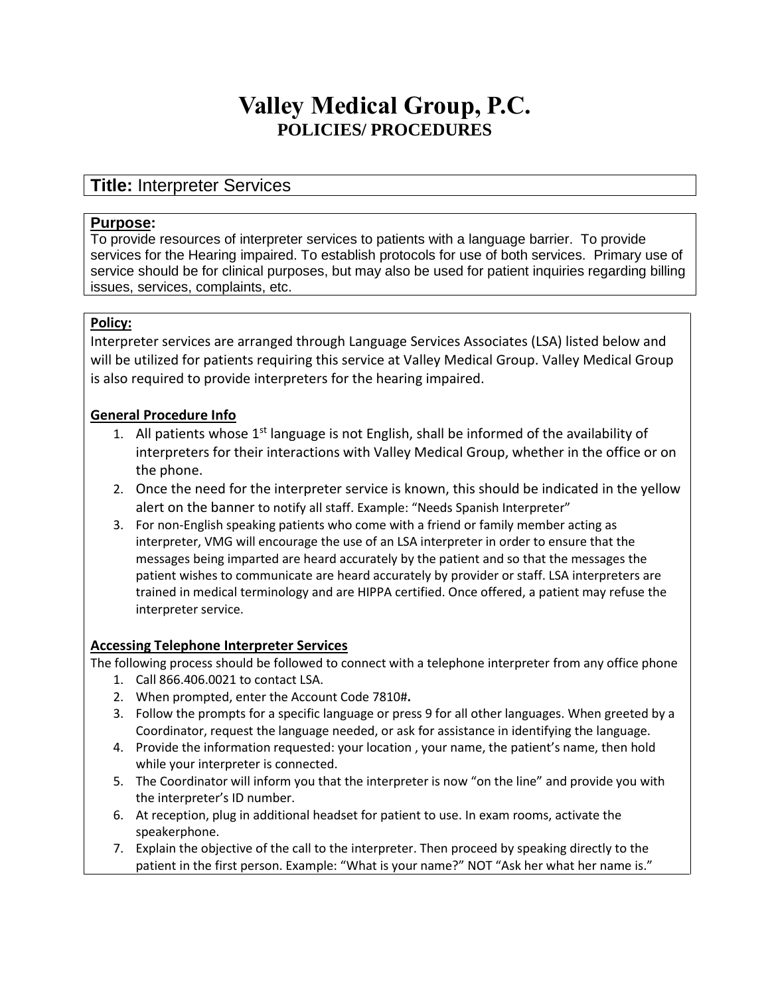# **Valley Medical Group, P.C. POLICIES/ PROCEDURES**

## **Title:** Interpreter Services

#### **Purpose:**

To provide resources of interpreter services to patients with a language barrier. To provide services for the Hearing impaired. To establish protocols for use of both services. Primary use of service should be for clinical purposes, but may also be used for patient inquiries regarding billing issues, services, complaints, etc.

#### **Policy:**

Interpreter services are arranged through Language Services Associates (LSA) listed below and will be utilized for patients requiring this service at Valley Medical Group. Valley Medical Group is also required to provide interpreters for the hearing impaired.

#### **General Procedure Info**

- 1. All patients whose  $1<sup>st</sup>$  language is not English, shall be informed of the availability of interpreters for their interactions with Valley Medical Group, whether in the office or on the phone.
- 2. Once the need for the interpreter service is known, this should be indicated in the yellow alert on the banner to notify all staff. Example: "Needs Spanish Interpreter"
- 3. For non-English speaking patients who come with a friend or family member acting as interpreter, VMG will encourage the use of an LSA interpreter in order to ensure that the messages being imparted are heard accurately by the patient and so that the messages the patient wishes to communicate are heard accurately by provider or staff. LSA interpreters are trained in medical terminology and are HIPPA certified. Once offered, a patient may refuse the interpreter service.

#### **Accessing Telephone Interpreter Services**

The following process should be followed to connect with a telephone interpreter from any office phone

- 1. Call 866.406.0021 to contact LSA.
- 2. When prompted, enter the Account Code 7810#**.**
- 3. Follow the prompts for a specific language or press 9 for all other languages. When greeted by a Coordinator, request the language needed, or ask for assistance in identifying the language.
- 4. Provide the information requested: your location , your name, the patient's name, then hold while your interpreter is connected.
- 5. The Coordinator will inform you that the interpreter is now "on the line" and provide you with the interpreter's ID number.
- 6. At reception, plug in additional headset for patient to use. In exam rooms, activate the speakerphone.
- 7. Explain the objective of the call to the interpreter. Then proceed by speaking directly to the patient in the first person. Example: "What is your name?" NOT "Ask her what her name is."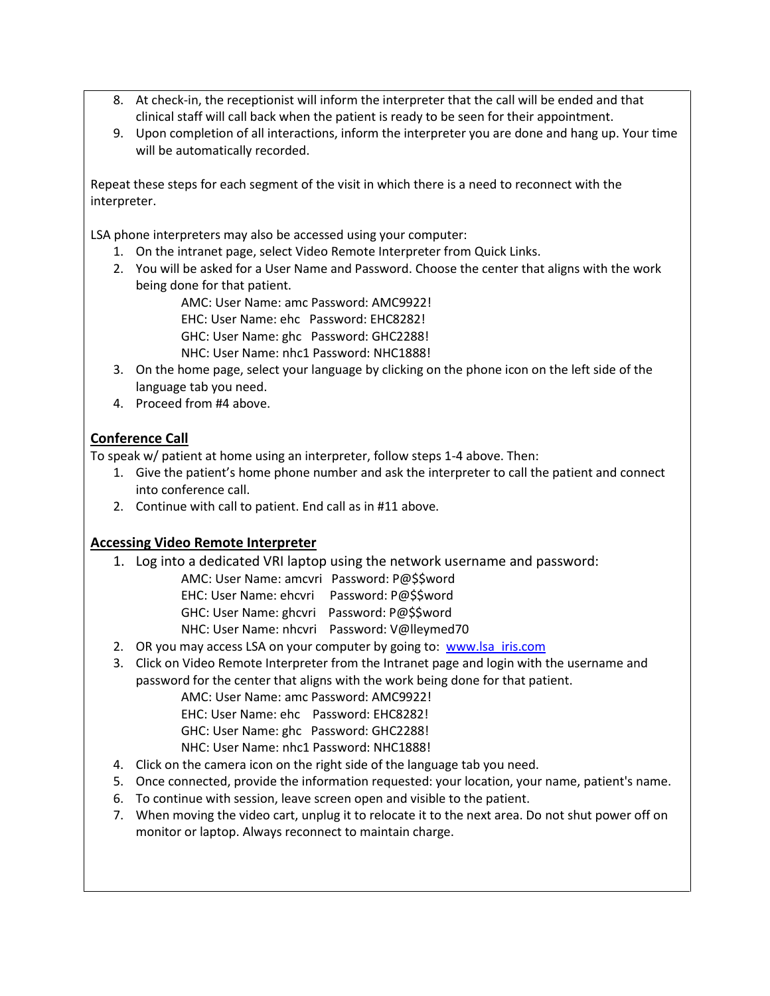- 8. At check-in, the receptionist will inform the interpreter that the call will be ended and that clinical staff will call back when the patient is ready to be seen for their appointment.
- 9. Upon completion of all interactions, inform the interpreter you are done and hang up. Your time will be automatically recorded.

Repeat these steps for each segment of the visit in which there is a need to reconnect with the interpreter.

LSA phone interpreters may also be accessed using your computer:

- 1. On the intranet page, select Video Remote Interpreter from Quick Links.
- 2. You will be asked for a User Name and Password. Choose the center that aligns with the work being done for that patient.

AMC: User Name: amc Password: AMC9922!

EHC: User Name: ehc Password: EHC8282!

- GHC: User Name: ghc Password: GHC2288!
- NHC: User Name: nhc1 Password: NHC1888!
- 3. On the home page, select your language by clicking on the phone icon on the left side of the language tab you need.
- 4. Proceed from #4 above.

### **Conference Call**

To speak w/ patient at home using an interpreter, follow steps 1-4 above. Then:

- 1. Give the patient's home phone number and ask the interpreter to call the patient and connect into conference call.
- 2. Continue with call to patient. End call as in #11 above.

#### **Accessing Video Remote Interpreter**

- 1. Log into a dedicated VRI laptop using the network username and password:
	- AMC: User Name: amcvri Password: P@\$\$word
	- EHC: User Name: ehcvri Password: P@\$\$word

GHC: User Name: ghcvri Password: P@\$\$word

- NHC: User Name: nhcvri Password: V@lleymed70
- 2. OR you may access LSA on your computer by going to: www.lsa iris.com
- 3. Click on Video Remote Interpreter from the Intranet page and login with the username and password for the center that aligns with the work being done for that patient.

AMC: User Name: amc Password: AMC9922!

EHC: User Name: ehc Password: EHC8282!

- GHC: User Name: ghc Password: GHC2288!
- NHC: User Name: nhc1 Password: NHC1888!
- 4. Click on the camera icon on the right side of the language tab you need.
- 5. Once connected, provide the information requested: your location, your name, patient's name.
- 6. To continue with session, leave screen open and visible to the patient.
- 7. When moving the video cart, unplug it to relocate it to the next area. Do not shut power off on monitor or laptop. Always reconnect to maintain charge.